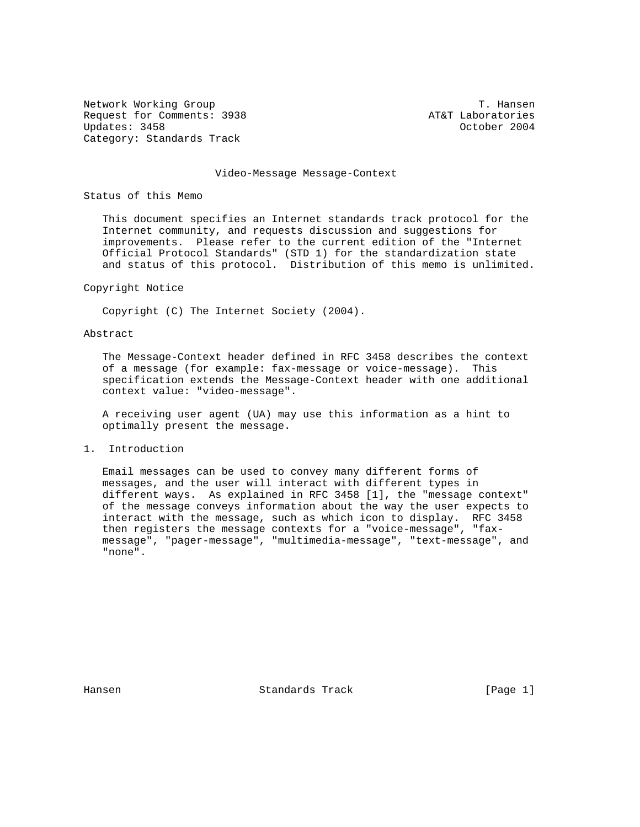Network Working Group T. Hansen Request for Comments: 3938 AT&T Laboratories<br>
Updates: 3458 Corology Coronal Corology Coronal Coronal Coronal Coronal Coronal Coronal Coronal Coronal Coron Updates: 3458 Category: Standards Track

#### Video-Message Message-Context

Status of this Memo

 This document specifies an Internet standards track protocol for the Internet community, and requests discussion and suggestions for improvements. Please refer to the current edition of the "Internet Official Protocol Standards" (STD 1) for the standardization state and status of this protocol. Distribution of this memo is unlimited.

#### Copyright Notice

Copyright (C) The Internet Society (2004).

### Abstract

 The Message-Context header defined in RFC 3458 describes the context of a message (for example: fax-message or voice-message). This specification extends the Message-Context header with one additional context value: "video-message".

 A receiving user agent (UA) may use this information as a hint to optimally present the message.

### 1. Introduction

 Email messages can be used to convey many different forms of messages, and the user will interact with different types in different ways. As explained in RFC 3458 [1], the "message context" of the message conveys information about the way the user expects to interact with the message, such as which icon to display. RFC 3458 then registers the message contexts for a "voice-message", "fax message", "pager-message", "multimedia-message", "text-message", and "none".

Hansen Standards Track [Page 1]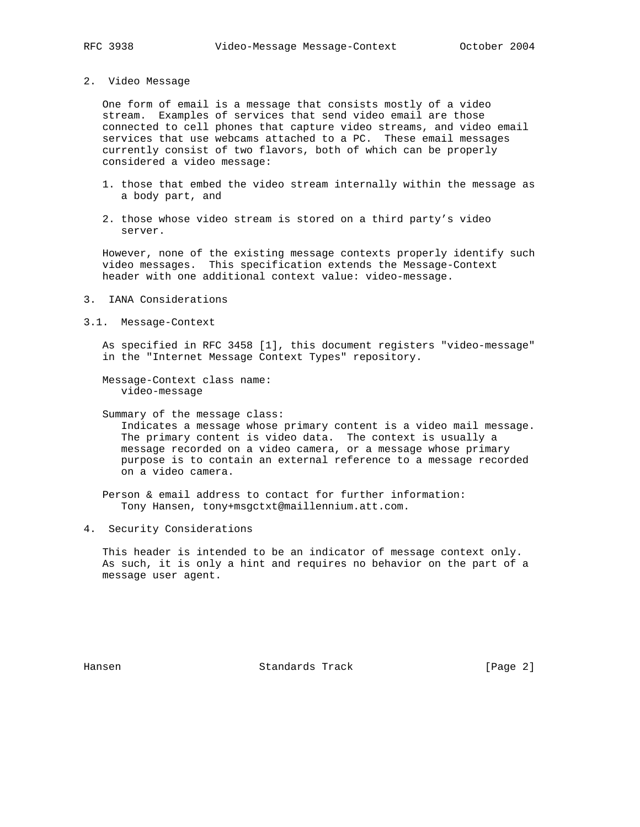2. Video Message

 One form of email is a message that consists mostly of a video stream. Examples of services that send video email are those connected to cell phones that capture video streams, and video email services that use webcams attached to a PC. These email messages currently consist of two flavors, both of which can be properly considered a video message:

- 1. those that embed the video stream internally within the message as a body part, and
- 2. those whose video stream is stored on a third party's video server.

 However, none of the existing message contexts properly identify such video messages. This specification extends the Message-Context header with one additional context value: video-message.

- 3. IANA Considerations
- 3.1. Message-Context

 As specified in RFC 3458 [1], this document registers "video-message" in the "Internet Message Context Types" repository.

 Message-Context class name: video-message

Summary of the message class:

 Indicates a message whose primary content is a video mail message. The primary content is video data. The context is usually a message recorded on a video camera, or a message whose primary purpose is to contain an external reference to a message recorded on a video camera.

 Person & email address to contact for further information: Tony Hansen, tony+msgctxt@maillennium.att.com.

4. Security Considerations

 This header is intended to be an indicator of message context only. As such, it is only a hint and requires no behavior on the part of a message user agent.

Hansen Standards Track [Page 2]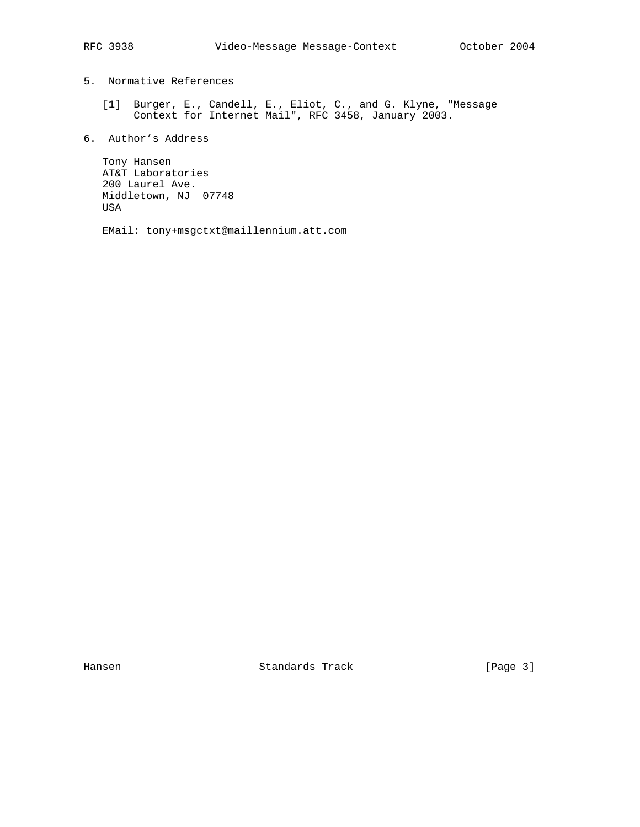# 5. Normative References

- [1] Burger, E., Candell, E., Eliot, C., and G. Klyne, "Message Context for Internet Mail", RFC 3458, January 2003.
- 6. Author's Address

 Tony Hansen AT&T Laboratories 200 Laurel Ave. Middletown, NJ 07748 USA

EMail: tony+msgctxt@maillennium.att.com

Hansen Standards Track [Page 3]